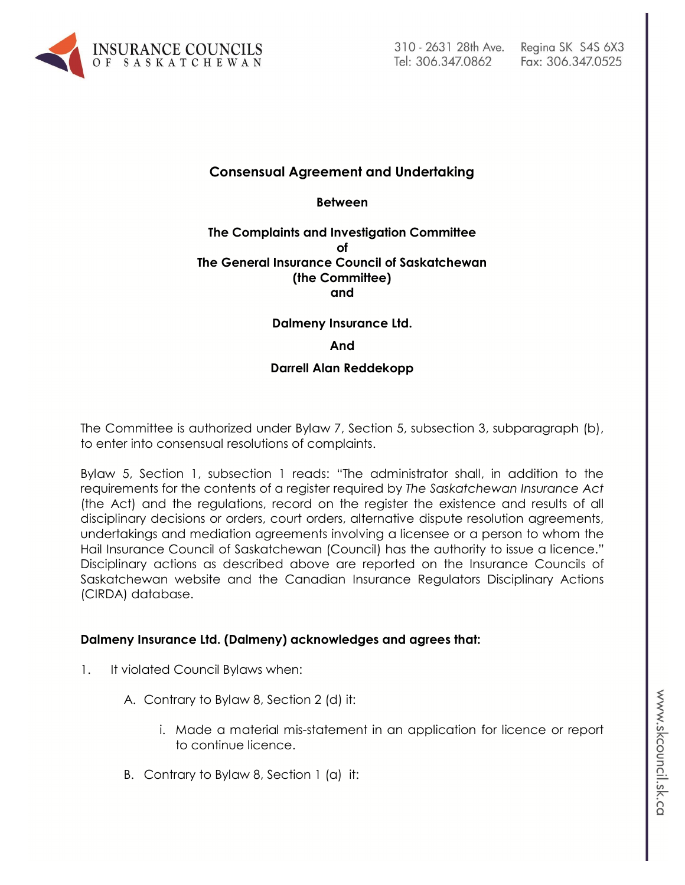

# **Consensual Agreement and Undertaking**

**Between**

### **The Complaints and Investigation Committee of The General Insurance Council of Saskatchewan (the Committee) and**

### **Dalmeny Insurance Ltd.**

#### **And**

#### **Darrell Alan Reddekopp**

The Committee is authorized under Bylaw 7, Section 5, subsection 3, subparagraph (b), to enter into consensual resolutions of complaints.

Bylaw 5, Section 1, subsection 1 reads: "The administrator shall, in addition to the requirements for the contents of a register required by *The Saskatchewan Insurance Act* (the Act) and the regulations, record on the register the existence and results of all disciplinary decisions or orders, court orders, alternative dispute resolution agreements, undertakings and mediation agreements involving a licensee or a person to whom the Hail Insurance Council of Saskatchewan (Council) has the authority to issue a licence." Disciplinary actions as described above are reported on the Insurance Councils of Saskatchewan website and the Canadian Insurance Regulators Disciplinary Actions (CIRDA) database.

### **Dalmeny Insurance Ltd. (Dalmeny) acknowledges and agrees that:**

- 1. It violated Council Bylaws when:
	- A. Contrary to Bylaw 8, Section 2 (d) it:
		- i. Made a material mis-statement in an application for licence or report to continue licence.
	- B. Contrary to Bylaw 8, Section 1 (a) it: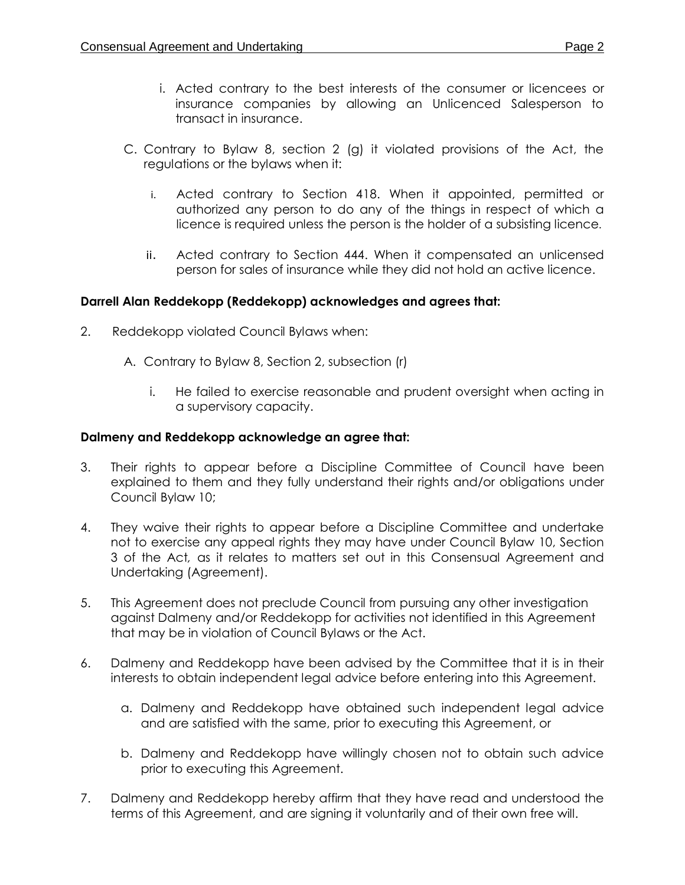- i. Acted contrary to the best interests of the consumer or licencees or insurance companies by allowing an Unlicenced Salesperson to transact in insurance.
- C. Contrary to Bylaw 8, section 2 (g) it violated provisions of the Act, the regulations or the bylaws when it:
	- i. Acted contrary to Section 418. When it appointed, permitted or authorized any person to do any of the things in respect of which a licence is required unless the person is the holder of a subsisting licence.
	- ii. Acted contrary to Section 444. When it compensated an unlicensed person for sales of insurance while they did not hold an active licence.

# **Darrell Alan Reddekopp (Reddekopp) acknowledges and agrees that:**

- 2. Reddekopp violated Council Bylaws when:
	- A. Contrary to Bylaw 8, Section 2, subsection (r)
		- i. He failed to exercise reasonable and prudent oversight when acting in a supervisory capacity.

### **Dalmeny and Reddekopp acknowledge an agree that:**

- 3. Their rights to appear before a Discipline Committee of Council have been explained to them and they fully understand their rights and/or obligations under Council Bylaw 10;
- 4. They waive their rights to appear before a Discipline Committee and undertake not to exercise any appeal rights they may have under Council Bylaw 10, Section 3 of the Act*,* as it relates to matters set out in this Consensual Agreement and Undertaking (Agreement).
- 5. This Agreement does not preclude Council from pursuing any other investigation against Dalmeny and/or Reddekopp for activities not identified in this Agreement that may be in violation of Council Bylaws or the Act.
- 6. Dalmeny and Reddekopp have been advised by the Committee that it is in their interests to obtain independent legal advice before entering into this Agreement.
	- a. Dalmeny and Reddekopp have obtained such independent legal advice and are satisfied with the same, prior to executing this Agreement, or
	- b. Dalmeny and Reddekopp have willingly chosen not to obtain such advice prior to executing this Agreement.
- 7. Dalmeny and Reddekopp hereby affirm that they have read and understood the terms of this Agreement, and are signing it voluntarily and of their own free will.